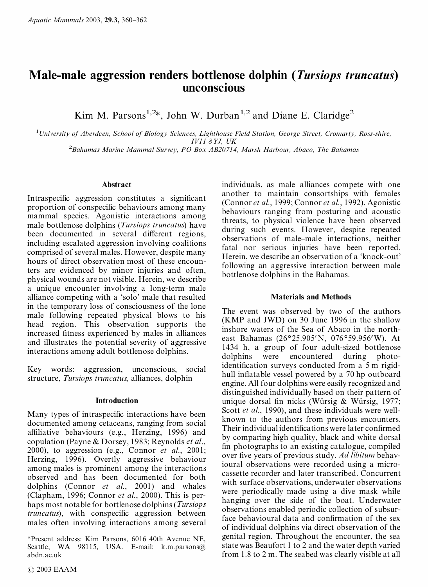# **Male-male aggression renders bottlenose dolphin (***Tursiops truncatus***) unconscious**

Kim M. Parsons<sup>1,2\*</sup>, John W. Durban<sup>1,2</sup> and Diane E. Claridge<sup>2</sup>

<sup>1</sup>*University of Aberdeen, School of Biology Sciences, Lighthouse Field Station, George Street, Cromarty, Ross-shire, IV11 8YJ, UK*

<sup>2</sup>*Bahamas Marine Mammal Survey, PO Box AB20714, Marsh Harbour, Abaco, The Bahamas*

## **Abstract**

Intraspecific aggression constitutes a significant proportion of conspecific behaviours among many mammal species. Agonistic interactions among male bottlenose dolphins (*Tursiops truncatus*) have been documented in several different regions, including escalated aggression involving coalitions comprised of several males. However, despite many hours of direct observation most of these encounters are evidenced by minor injuries and often, physical wounds are not visible. Herein, we describe a unique encounter involving a long-term male alliance competing with a 'solo' male that resulted in the temporary loss of consciousness of the lone male following repeated physical blows to his head region. This observation supports the increased fitness experienced by males in alliances and illustrates the potential severity of aggressive interactions among adult bottlenose dolphins.

Key words: aggression, unconscious, social structure, *Tursiops truncatus*, alliances, dolphin

## **Introduction**

Many types of intraspecific interactions have been documented among cetaceans, ranging from social affiliative behaviours (e.g., Herzing, 1996) and copulation (Payne & Dorsey, 1983; Reynolds *et al*., 2000), to aggression (e.g., Connor *et al*., 2001; Herzing, 1996). Overtly aggressive behaviour among males is prominent among the interactions observed and has been documented for both dolphins (Connor *et al*., 2001) and whales (Clapham, 1996; Connor *et al*., 2000). This is perhaps most notable for bottlenose dolphins(*Tursiops truncatus*), with conspecific aggression between males often involving interactions among several

\*Present address: Kim Parsons, 6016 40th Avenue NE, Seattle, WA 98115, USA. E-mail: k.m.parsons@ abdn.ac.uk

individuals, as male alliances compete with one another to maintain consortships with females (Connor *et al*., 1999; Connor *et al*., 1992). Agonistic behaviours ranging from posturing and acoustic threats, to physical violence have been observed during such events. However, despite repeated observations of male–male interactions, neither fatal nor serious injuries have been reported. Herein, we describe an observation of a 'knock-out' following an aggressive interaction between male bottlenose dolphins in the Bahamas.

## **Materials and Methods**

The event was observed by two of the authors (KMP and JWD) on 30 June 1996 in the shallow inshore waters of the Sea of Abaco in the northeast Bahamas (26°25.905'N, 076°59.956'W). At 1434 h, a group of four adult-sized bottlenose dolphins were encountered during photoidentification surveys conducted from a  $5$  m rigidhull inflatable vessel powered by a 70 hp outboard engine. All four dolphins were easily recognized and distinguished individually based on their pattern of unique dorsal fin nicks (Würsig & Würsig, 1977; Scott *et al*., 1990), and these individuals were wellknown to the authors from previous encounters. Their individual identifications were later confirmed by comparing high quality, black and white dorsal fin photographs to an existing catalogue, compiled over five years of previous study. Ad libitum behavioural observations were recorded using a microcassette recorder and later transcribed. Concurrent with surface observations, underwater observations were periodically made using a dive mask while hanging over the side of the boat. Underwater observations enabled periodic collection of subsurface behavioural data and confirmation of the sex of individual dolphins via direct observation of the genital region. Throughout the encounter, the sea state was Beaufort 1 to 2 and the water depth varied from 1.8 to 2 m. The seabed was clearly visible at all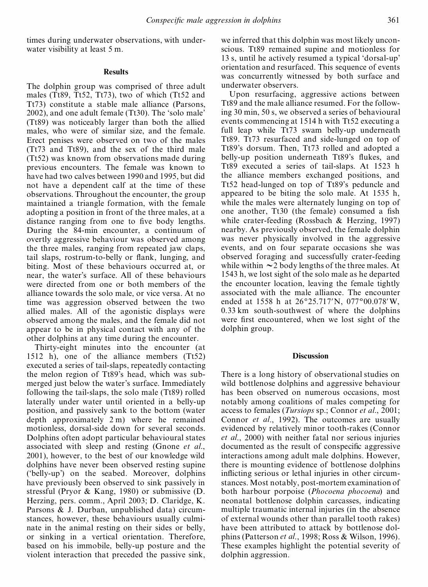times during underwater observations, with underwater visibility at least 5 m.

## **Results**

The dolphin group was comprised of three adult males (Tt89, Tt52, Tt73), two of which (Tt52 and Tt73) constitute a stable male alliance (Parsons, 2002), and one adult female (Tt30). The 'solo male' (Tt89) was noticeably larger than both the allied males, who were of similar size, and the female. Erect penises were observed on two of the males (Tt73 and Tt89), and the sex of the third male (Tt52) was known from observations made during previous encounters. The female was known to have had two calves between 1990 and 1995, but did not have a dependent calf at the time of these observations. Throughout the encounter, the group maintained a triangle formation, with the female adopting a position in front of the three males, at a distance ranging from one to five body lengths. During the 84-min encounter, a continuum of overtly aggressive behaviour was observed among the three males, ranging from repeated jaw claps, tail slaps, rostrum-to-belly or flank, lunging, and biting. Most of these behaviours occurred at, or near, the water's surface. All of these behaviours were directed from one or both members of the alliance towards the solo male, or vice versa. At no time was aggression observed between the two allied males. All of the agonistic displays were observed among the males, and the female did not appear to be in physical contact with any of the other dolphins at any time during the encounter.

Thirty-eight minutes into the encounter (at 1512 h), one of the alliance members (Tt52) executed a series of tail-slaps, repeatedly contacting the melon region of Tt89's head, which was submerged just below the water's surface. Immediately following the tail-slaps, the solo male (Tt89) rolled laterally under water until oriented in a belly-up position, and passively sank to the bottom (water depth approximately 2 m) where he remained motionless, dorsal-side down for several seconds. Dolphins often adopt particular behavioural states associated with sleep and resting (Gnone *et al*., 2001), however, to the best of our knowledge wild dolphins have never been observed resting supine ('belly-up') on the seabed. Moreover, dolphins have previously been observed to sink passively in stressful (Pryor & Kang, 1980) or submissive (D. Herzing, pers. comm., April 2003; D. Claridge, K. Parsons & J. Durban, unpublished data) circumstances, however, these behaviours usually culminate in the animal resting on their sides or belly, or sinking in a vertical orientation. Therefore, based on his immobile, belly-up posture and the violent interaction that preceded the passive sink,

we inferred that this dolphin was most likely uncon scious. Tt89 remained supine and motionless for 13 s, until he actively resumed a typical 'dorsal-up' orientation and resurfaced. This sequence of events was concurrently witnessed by both surface and underwater observers.

Upon resurfacing, aggressive actions between Tt89 and the male alliance resumed. For the following 30 min, 50 s, we observed a series of behavioural events commencing at 1514 h with Tt52 executing a full leap while Tt73 swam belly-up underneath Tt89. Tt73 resurfaced and side-lunged on top of Tt89's dorsum. Then, Tt73 rolled and adopted a belly-up position underneath Tt89's flukes, and Tt89 executed a series of tail-slaps. At 1523 h the alliance members exchanged positions, and Tt52 head-lunged on top of Tt89's peduncle and appeared to be biting the solo male. At 1535 h, while the males were alternately lunging on top of one another, Tt30 (the female) consumed a fish while crater-feeding (Rossbach & Herzing, 1997) nearby. As previously observed, the female dolphin was never physically involved in the aggressive events, and on four separate occasions she was observed foraging and successfully crater-feeding while within  $\sim$  2 body lengths of the three males. At 1543 h, we lost sight of the solo male as he departed the encounter location, leaving the female tightly associated with the male alliance. The encounter ended at 1558 h at  $26^{\circ}25.717'$ N,  $077^{\circ}00.078'$ W, 0.33 km south-southwest of where the dolphins were first encountered, when we lost sight of the dolphin group.

#### **Discussion**

There is a long history of observational studies on wild bottlenose dolphins and aggressive behaviour has been observed on numerous occasions, most notably among coalitions of males competing for access to females (*Tursiops* sp.; Connor *et al*., 2001; Connor *et al*., 1992). The outcomes are usually evidenced by relatively minor tooth-rakes (Connor *et al*., 2000) with neither fatal nor serious injuries documented as the result of conspecific aggressive interactions among adult male dolphins. However, there is mounting evidence of bottlenose dolphins inflicting serious or lethal injuries in other circumstances. Most notably, post-mortem examination of both harbour porpoise (*Phocoena phocoena*) and neonatal bottlenose dolphin carcasses, indicating multiple traumatic internal injuries (in the absence of external wounds other than parallel tooth rakes) have been attributed to attack by bottlenose dolphins (Patterson *et al*., 1998; Ross & Wilson, 1996). These examples highlight the potential severity of dolphin aggression.